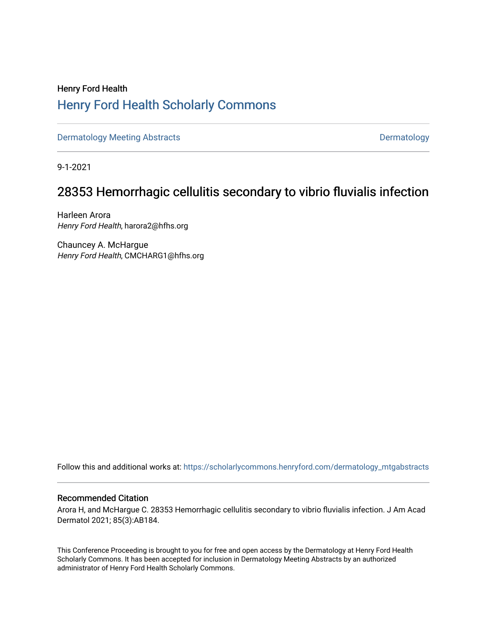## Henry Ford Health [Henry Ford Health Scholarly Commons](https://scholarlycommons.henryford.com/)

[Dermatology Meeting Abstracts](https://scholarlycommons.henryford.com/dermatology_mtgabstracts) and the control of the [Dermatology](https://scholarlycommons.henryford.com/dermatology) Dermatology

9-1-2021

# 28353 Hemorrhagic cellulitis secondary to vibrio fluvialis infection

Harleen Arora Henry Ford Health, harora2@hfhs.org

Chauncey A. McHargue Henry Ford Health, CMCHARG1@hfhs.org

Follow this and additional works at: [https://scholarlycommons.henryford.com/dermatology\\_mtgabstracts](https://scholarlycommons.henryford.com/dermatology_mtgabstracts?utm_source=scholarlycommons.henryford.com%2Fdermatology_mtgabstracts%2F166&utm_medium=PDF&utm_campaign=PDFCoverPages) 

### Recommended Citation

Arora H, and McHargue C. 28353 Hemorrhagic cellulitis secondary to vibrio fluvialis infection. J Am Acad Dermatol 2021; 85(3):AB184.

This Conference Proceeding is brought to you for free and open access by the Dermatology at Henry Ford Health Scholarly Commons. It has been accepted for inclusion in Dermatology Meeting Abstracts by an authorized administrator of Henry Ford Health Scholarly Commons.